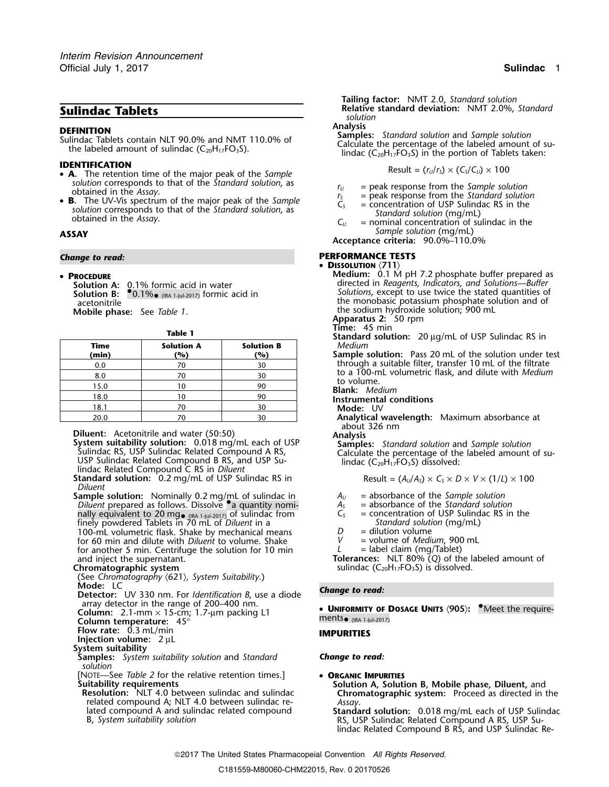- **IDENTIFICATION 6 A***.* The retention time of the major peak of the *Sample* **CG CG Result** =  $(r_0/r_s) \times (C_s/C_0) \times 100$ solution corresponds to that of the *Standard solution*, as<br>
obtained in the *Assay*.<br> **B.** The UV-Vis spectrum of the major peak of the *Sample*<br> **B.** The UV-Vis spectrum of the major peak of the *Sample*<br>  $\begin{array}{ccc}\nr_5 &=$
- **B.** The UV-Vis spectrum of the major peak of the Sample<br>solution corresponds to that of the Standard solution, as<br>obtained in the Assay.<br>obtained in the Assay.<br> $C_y$  = nominal concentration of sulindac in the<br>nominal co

### • PROCEDURE

 $\bullet$  0.1% $\bullet$  (IRA 1-Jul-2017) formic acid in

| <b>Time</b><br>(min) | <b>Solution A</b><br>(%) | <b>Solution B</b><br>(%) |  |  |
|----------------------|--------------------------|--------------------------|--|--|
| 0.0                  | 70                       | 30                       |  |  |
| 8.0                  | 70                       | 30                       |  |  |
| 15.0                 | 10                       | 90                       |  |  |
| 18.0                 | 10                       | 90                       |  |  |
| 18.1                 | 70                       | 30                       |  |  |
| 20.0                 | 70                       | 30                       |  |  |

**Diluent:** Acetonitrile and water (50:50)<br> **System suitability solution:** 0.018 mg/mL each of USP<br>
Sulindac RS, USP Sulindac Related Compound A RS,<br>
USP Sulindac Related Compound B RS, and USP Su-<br>
lindac (C<sub>20</sub>H<sub>17</sub>FO<sub>3</sub>

**Standard solution:** 0.2 mg/mL of USP Sulindac RS in *Diluent*

**Sample solution:** Nominally 0.2 mg/mL of sulindac in *<sup>A</sup><sup>U</sup>* = absorbance of the *Sample solution Diluent* prepared as follows. Dissolve •.a quantity nomi- *<sup>A</sup><sup>S</sup>* = absorbance of the *Standard solution* nally equivalent to 20 mg<sub>• (IRA 1-Jul-2017)</sub> of sulindac from  $C_5$  = concentration of USP Sulindac RS in the finely powdered Tablets in 70 mL of *Diluent* in a *Standard solution* (mg/mL) 100-mL volumetric flask. Shake by mechanical means  $D =$  dilution volume  $D =$  dilution volume  $\overline{D}$ for 60 min and dilute with *Diluent* to volume. Shake for another 5 min. Centrifuge the solution for 10 min  $L =$  label claim (mg/Tablet) and inject the supernatant.

(See *Chromatography* 〈621〉*, System Suitability*.)

**Mode:** LC *Change to read:* **Detector:** UV 330 nm. For *Identification B*, use a diode array detector in the range of 200–400 nm.<br>**Column:** 2.1-mm  $\times$  15-cm; 1.7-µm packing L1

**Column temperature:** 45°<br>**Flow rate:** 0.3 mL/min

```
Flow rate: 0.3 mL/min IMPURITIES Injection volume:2 µL
```
# **System suitability**

**Samples:** *System suitability solution* and *Standard Change to read: solution*

[NOTE—See *Table 2* for the relative retention times.] • **ORGANIC IMPURITIES**

related compound A; NLT 4.0 between sulindac re- *Assay*. lated compound A and sulindac related compound **Standard solution:** 0.018 mg/mL each of USP Sulindac

**Tailing factor:** NMT 2.0, *Standard solution* **Sulindac Tablets Sulindac Tablets Relative standard deviation:** NMT 2.0%, *Standard* **Sulindac Suling** *solution* 

**DEFINITION**<br>
Sulindac Tablets contain NLT 90.0% and NMT 110.0% of **Sulindac Sulindac Tablets contain NLT 90.0% and NMT 110.0% of Sulindac Calculate the percentage of the labeled amount of su-<br>
the labeled amount of sulin** 

- 
- 
- 
- **ASSAY** *Sample solution* (mg/mL)
	- **Acceptance criteria:** 90.0%–110.0%

## *Change to read:* **PERFORMANCE TESTS**

### •**DISSOLUTION** 〈**711**〉

**Medium:** 0.1 M pH 7.2 phosphate buffer prepared as **Solution A:** 0.1% formic acid in water directed in *Reagents, Indicators, and Solutions—Buffer* **Solution B:** • 0.1%• *IN Solutions*, except to use twice the stated quantities of acetonitrile action the monobasic potassium phosphate solution and of **Mobile phase:** See *Table 1*. the sodium hydroxide solution; 900 mL **Apparatus 2:** 50 rpm

**Trable 1 Time:** 45 min **Table 1 Standard solution:** 20 µg/mL of USP Sulindac RS in **Time Solution A Solution B** *Medium*

**(min) (%) (%) Sample solution:** Pass 20 mL of the solution under test through a suitable filter, transfer 10 mL of the filtrate to a 100-mL volumetric flask, and dilute with *Medium* to volume.

Blank: Medium

- 18.0 <sup>10</sup> <sup>90</sup> **Instrumental conditions**
- Mode: UV
- Analytical wavelength: Maximum absorbance at about 326 nm

- 
- 
- 
- 
- 
- 

and inject the supernatant. **The supernatant of the supernatant of the labeled amount of sulindac (C<sub>20</sub>H<sub>17</sub>FO<sub>3</sub>S) is dissolved.<br>
<b>Chromatographic system States and States and States and States and States and States an** sulindac (C<sub>20</sub>H<sub>17</sub>FO<sub>3</sub>S) is dissolved.

**UNIFORMITY OF DOSAGE UNITS**  $\langle 905 \rangle$ **: <sup>\*</sup>Meet the require-<br>ments<sub>•(RA 1-Jul-2017)**</sub>

**Suitability requirements Solution A, Solution B, Mobile phase, Diluent,** and **Resolution:** NLT 4.0 between sulindac and sulindac **Chromatographic system:** Proceed as directed in the

RS, USP Sulindac Related Compound A RS, USP Sulindac Related Compound B RS, and USP Sulindac Re-

2017 The United States Pharmacopeial Convention *All Rights Reserved.*